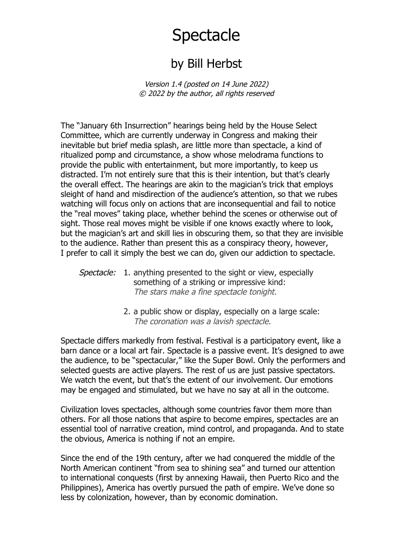## Spectacle

## by Bill Herbst

Version 1.4 (posted on 14 June 2022) © 2022 by the author, all rights reserved

The "January 6th Insurrection" hearings being held by the House Select Committee, which are currently underway in Congress and making their inevitable but brief media splash, are little more than spectacle, a kind of ritualized pomp and circumstance, a show whose melodrama functions to provide the public with entertainment, but more importantly, to keep us distracted. I'm not entirely sure that this is their intention, but that's clearly the overall effect. The hearings are akin to the magician's trick that employs sleight of hand and misdirection of the audience's attention, so that we rubes watching will focus only on actions that are inconsequential and fail to notice the "real moves" taking place, whether behind the scenes or otherwise out of sight. Those real moves might be visible if one knows exactly where to look, but the magician's art and skill lies in obscuring them, so that they are invisible to the audience. Rather than present this as a conspiracy theory, however, I prefer to call it simply the best we can do, given our addiction to spectacle.

## Spectacle: 1. anything presented to the sight or view, especially something of a striking or impressive kind: The stars make a fine spectacle tonight.

2. a public show or display, especially on a large scale: The coronation was a lavish spectacle.

Spectacle differs markedly from festival. Festival is a participatory event, like a barn dance or a local art fair. Spectacle is a passive event. It's designed to awe the audience, to be "spectacular," like the Super Bowl. Only the performers and selected guests are active players. The rest of us are just passive spectators. We watch the event, but that's the extent of our involvement. Our emotions may be engaged and stimulated, but we have no say at all in the outcome.

Civilization loves spectacles, although some countries favor them more than others. For all those nations that aspire to become empires, spectacles are an essential tool of narrative creation, mind control, and propaganda. And to state the obvious, America is nothing if not an empire.

Since the end of the 19th century, after we had conquered the middle of the North American continent "from sea to shining sea" and turned our attention to international conquests (first by annexing Hawaii, then Puerto Rico and the Philippines), America has overtly pursued the path of empire. We've done so less by colonization, however, than by economic domination.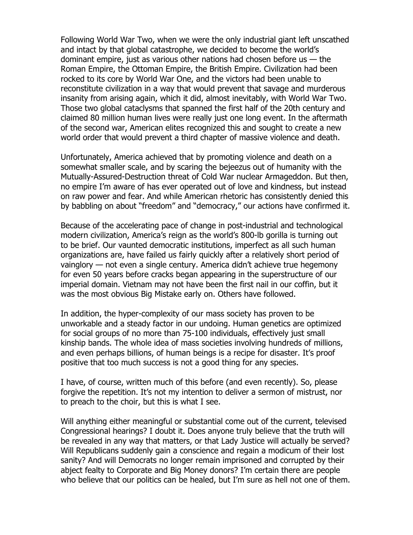Following World War Two, when we were the only industrial giant left unscathed and intact by that global catastrophe, we decided to become the world's dominant empire, just as various other nations had chosen before us  $-$  the Roman Empire, the Ottoman Empire, the British Empire. Civilization had been rocked to its core by World War One, and the victors had been unable to reconstitute civilization in a way that would prevent that savage and murderous insanity from arising again, which it did, almost inevitably, with World War Two. Those two global cataclysms that spanned the first half of the 20th century and claimed 80 million human lives were really just one long event. In the aftermath of the second war, American elites recognized this and sought to create a new world order that would prevent a third chapter of massive violence and death.

Unfortunately, America achieved that by promoting violence and death on a somewhat smaller scale, and by scaring the bejeezus out of humanity with the Mutually-Assured-Destruction threat of Cold War nuclear Armageddon. But then, no empire I'm aware of has ever operated out of love and kindness, but instead on raw power and fear. And while American rhetoric has consistently denied this by babbling on about "freedom" and "democracy," our actions have confirmed it.

Because of the accelerating pace of change in post-industrial and technological modern civilization, America's reign as the world's 800-lb gorilla is turning out to be brief. Our vaunted democratic institutions, imperfect as all such human organizations are, have failed us fairly quickly after a relatively short period of vainglory — not even a single century. America didn't achieve true hegemony for even 50 years before cracks began appearing in the superstructure of our imperial domain. Vietnam may not have been the first nail in our coffin, but it was the most obvious Big Mistake early on. Others have followed.

In addition, the hyper-complexity of our mass society has proven to be unworkable and a steady factor in our undoing. Human genetics are optimized for social groups of no more than 75-100 individuals, effectively just small kinship bands. The whole idea of mass societies involving hundreds of millions, and even perhaps billions, of human beings is a recipe for disaster. It's proof positive that too much success is not a good thing for any species.

I have, of course, written much of this before (and even recently). So, please forgive the repetition. It's not my intention to deliver a sermon of mistrust, nor to preach to the choir, but this is what I see.

Will anything either meaningful or substantial come out of the current, televised Congressional hearings? I doubt it. Does anyone truly believe that the truth will be revealed in any way that matters, or that Lady Justice will actually be served? Will Republicans suddenly gain a conscience and regain a modicum of their lost sanity? And will Democrats no longer remain imprisoned and corrupted by their abject fealty to Corporate and Big Money donors? I'm certain there are people who believe that our politics can be healed, but I'm sure as hell not one of them.